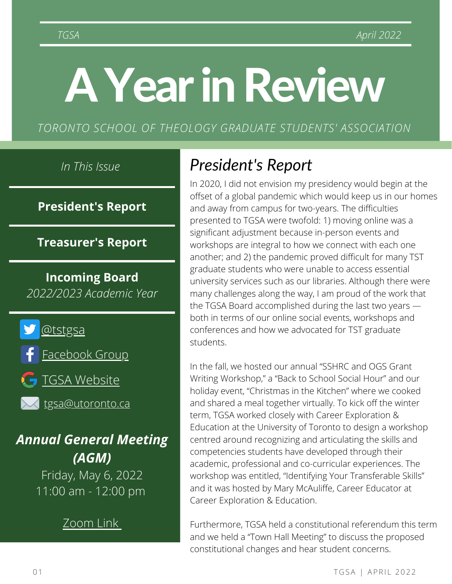# AYearinReview

*TORONTO SCHOOL OF THEOLOGY GRADUATE STUDENTS' ASSOCIATION*

**President's Report**

**Treasurer's Report**

**Incoming Board** *2022/2023 Academic Year*



**G** TGSA [Website](http://tgsa.sa.utoronto.ca/)

[tgsa@utoronto.ca](mailto:tgsa@utoronto.ca)

*Annual General Meeting (AGM)*

> Friday, May 6, 2022 11:00 am - 12:00 pm

> > [Zoom](https://us06web.zoom.us/j/89454990210) Lin[k](https://us06web.zoom.us/j/89454990210)

## *In This Issue President's Report*

In 2020, I did not envision my presidency would begin at the offset of a global pandemic which would keep us in our homes and away from campus for two-years. The difficulties presented to TGSA were twofold: 1) moving online was a significant adjustment because in-person events and workshops are integral to how we connect with each one another; and 2) the pandemic proved difficult for many TST graduate students who were unable to access essential university services such as our libraries. Although there were many challenges along the way, I am proud of the work that the TGSA Board accomplished during the last two years both in terms of our online social events, workshops and conferences and how we advocated for TST graduate students.

In the fall, we hosted our annual "SSHRC and OGS Grant Writing Workshop," a "Back to School Social Hour" and our holiday event, "Christmas in the Kitchen" where we cooked and shared a meal together virtually. To kick off the winter term, TGSA worked closely with Career Exploration & Education at the University of Toronto to design a workshop centred around recognizing and articulating the skills and competencies students have developed through their academic, professional and co-curricular experiences. The workshop was entitled, "Identifying Your Transferable Skills" and it was hosted by Mary McAuliffe, Career Educator at Career Exploration & Education.

Furthermore, TGSA held a constitutional referendum this term and we held a "Town Hall Meeting" to discuss the proposed constitutional changes and hear student concerns.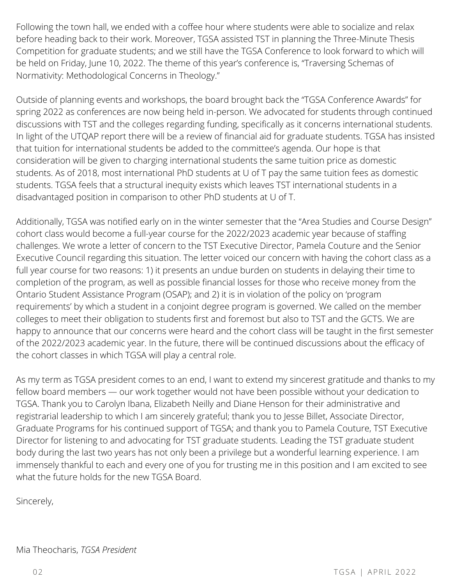before heading back to their work. Moreover, TGSA assisted TST in planning the Three-Minute Thesis Following the town hall, we ended with a coffee hour where students were able to socialize and relax Competition for graduate students; and we still have the TGSA Conference to look forward to which will be held on Friday, June 10, 2022. The theme of this year's conference is, "Traversing Schemas of Normativity: Methodological Concerns in Theology."

*In This Issue* students. As of 2018, most international PhD students at U of T pay the same tuition fees as domestic **President's Report** Outside of planning events and workshops, the board brought back the "TGSA Conference Awards" for spring 2022 as conferences are now being held in-person. We advocated for students through continued discussions with TST and the colleges regarding funding, specifically as it concerns international students. In light of the UTQAP report there will be a review of financial aid for graduate students. TGSA has insisted that tuition for international students be added to the committee's agenda. Our hope is that consideration will be given to charging international students the same tuition price as domestic students. TGSA feels that a structural inequity exists which leaves TST international students in a disadvantaged position in comparison to other PhD students at U of T.

*By: Mia Theocharis* Additionally, TGSA was notified early on in the winter semester that the "Area Studies and Course Design" **Treasurer's Report** Executive Council regarding this situation. The letter voiced our concern with having the cohort class as a full year course for two reasons: 1) it presents an undue burden on students in delaying their time to *Scanlon* completion of the program, as well as possible financial losses for those who receive money from the colleges to meet their obligation to students first and foremost but also to TST and the GCTS. We are *2022/2023 Academic Year* happy to announce that our concerns were heard and the cohort class will be taught in the first semester cohort class would become a full-year course for the 2022/2023 academic year because of staffing challenges. We wrote a letter of concern to the TST Executive Director, Pamela Couture and the Senior Ontario Student Assistance Program (OSAP); and 2) it is in violation of the policy on 'program requirements' by which a student in a conjoint degree program is governed. We called on the member of the 2022/2023 academic year. In the future, there will be continued discussions about the efficacy of the cohort classes in which TGSA will play a central role.

As my term as TGSA president comes to an end, I want to extend my sincerest gratitude and thanks to my fellow board members — our work together would not have been possible without your dedication to TGSA. Thank you to Carolyn Ibana, Elizabeth Neilly and Diane Henson for their administrative and registrarial leadership to which I am sincerely grateful; thank you to Jesse Billet, Associate Director, Graduate Programs for his continued support of TGSA; and thank you to Pamela Couture, TST Executive Director for listening to and advocating for TST graduate students. Leading the TST graduate student body during the last two years has not only been a privilege but a wonderful learning experience. I am immensely thankful to each and every one of you for trusting me in this position and I am excited to see what the future holds for the new TGSA Board.

Sincerely,